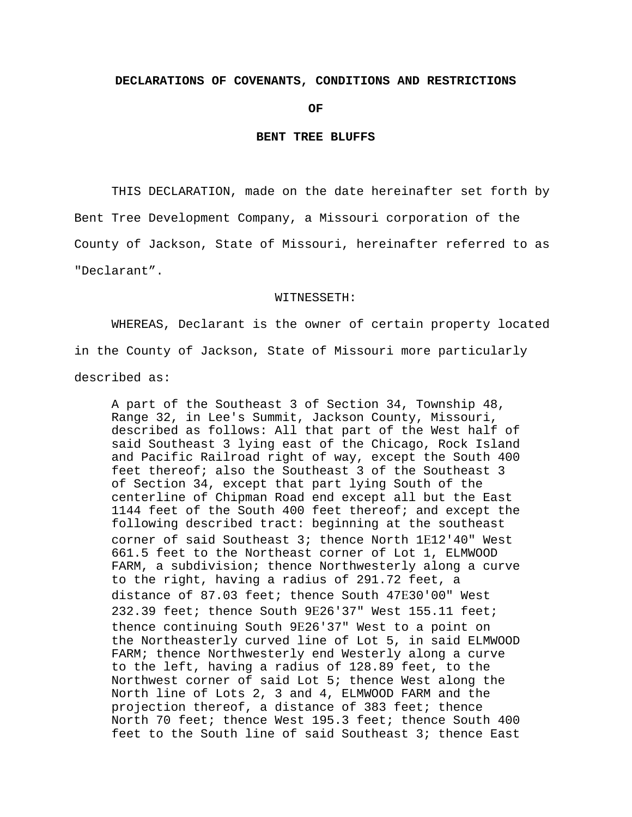## **DECLARATIONS OF COVENANTS, CONDITIONS AND RESTRICTIONS**

*OF* 

### **BENT TREE BLUFFS**

THIS DECLARATION, made on the date hereinafter set forth by Bent Tree Development Company, a Missouri corporation of the County of Jackson, State of Missouri, hereinafter referred to as "Declarant".

#### WITNESSETH:

WHEREAS, Declarant is the owner of certain property located in the County of Jackson, State of Missouri more particularly described as:

A part of the Southeast 3 of Section 34, Township 48, Range 32, in Lee's Summit, Jackson County, Missouri, described as follows: All that part of the West half of said Southeast 3 lying east of the Chicago, Rock Island and Pacific Railroad right of way, except the South 400 feet thereof; also the Southeast 3 of the Southeast 3 of Section 34, except that part lying South of the centerline of Chipman Road end except all but the East 1144 feet of the South 400 feet thereof; and except the following described tract: beginning at the southeast corner of said Southeast 3; thence North 1Ε12'40" West 661.5 feet to the Northeast corner of Lot 1, ELMWOOD FARM, a subdivision; thence Northwesterly along a curve to the right, having a radius of 291.72 feet, a distance of 87.03 feet; thence South 47Ε30'00" West 232.39 feet; thence South 9Ε26'37" West 155.11 feet; thence continuing South 9Ε26'37" West to a point on the Northeasterly curved line of Lot 5, in said ELMWOOD FARM; thence Northwesterly end Westerly along a curve to the left, having a radius of 128.89 feet, to the Northwest corner of said Lot 5; thence West along the North line of Lots 2, 3 and 4, ELMWOOD FARM and the projection thereof, a distance of 383 feet; thence North 70 feet; thence West 195.3 feet; thence South 400 feet to the South line of said Southeast 3; thence East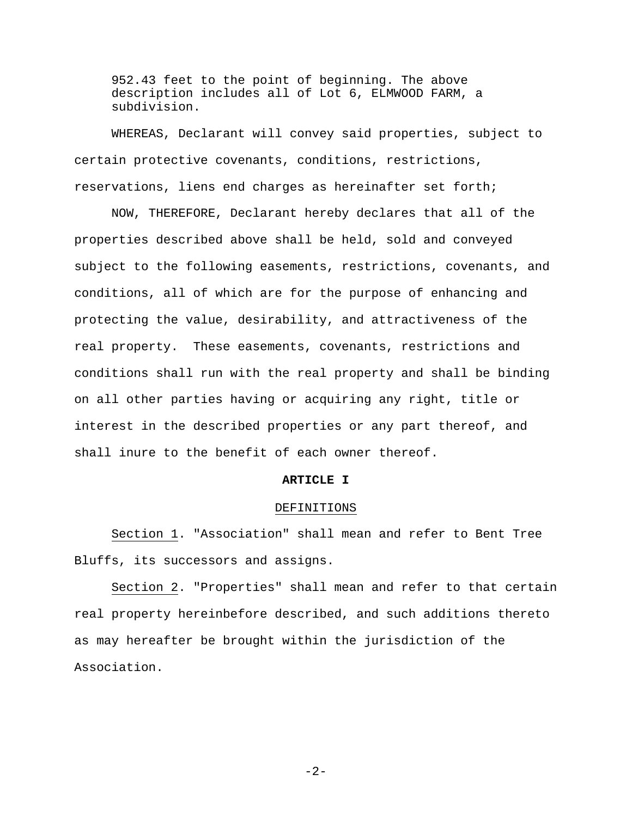952.43 feet to the point of beginning. The above description includes all of Lot 6, ELMWOOD FARM, a subdivision.

WHEREAS, Declarant will convey said properties, subject to certain protective covenants, conditions, restrictions, reservations, liens end charges as hereinafter set forth;

NOW, THEREFORE, Declarant hereby declares that all of the properties described above shall be held, sold and conveyed subject to the following easements, restrictions, covenants, and conditions, all of which are for the purpose of enhancing and protecting the value, desirability, and attractiveness of the real property. These easements, covenants, restrictions and conditions shall run with the real property and shall be binding on all other parties having or acquiring any right, title or interest in the described properties or any part thereof, and shall inure to the benefit of each owner thereof.

#### **ARTICLE I**

#### DEFINITIONS

Section 1. "Association" shall mean and refer to Bent Tree Bluffs, its successors and assigns.

Section 2. "Properties" shall mean and refer to that certain real property hereinbefore described, and such additions thereto as may hereafter be brought within the jurisdiction of the Association.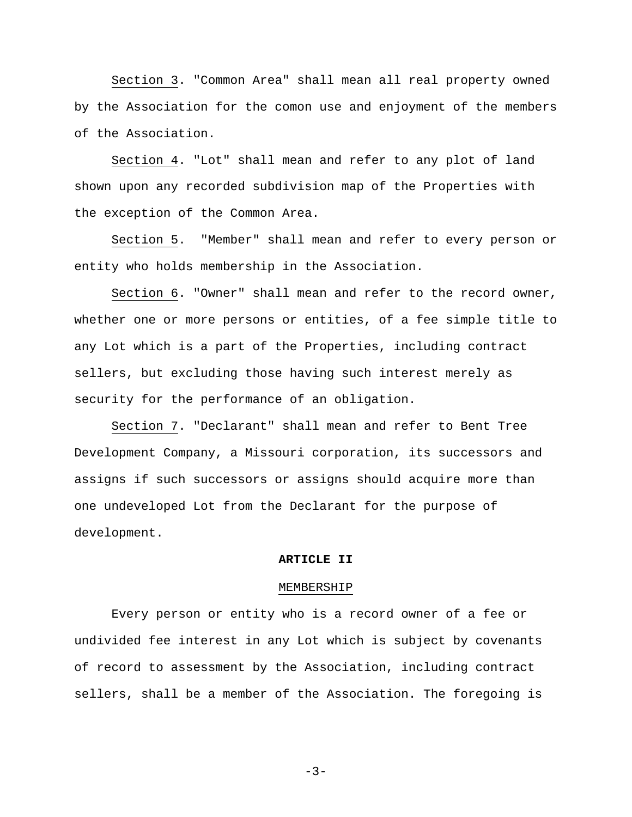Section 3. "Common Area" shall mean all real property owned by the Association for the comon use and enjoyment of the members of the Association.

Section 4. "Lot" shall mean and refer to any plot of land shown upon any recorded subdivision map of the Properties with the exception of the Common Area.

Section 5. "Member" shall mean and refer to every person or entity who holds membership in the Association.

Section 6. "Owner" shall mean and refer to the record owner, whether one or more persons or entities, of a fee simple title to any Lot which is a part of the Properties, including contract sellers, but excluding those having such interest merely as security for the performance of an obligation.

Section 7. "Declarant" shall mean and refer to Bent Tree Development Company, a Missouri corporation, its successors and assigns if such successors or assigns should acquire more than one undeveloped Lot from the Declarant for the purpose of development.

# **ARTICLE II**

#### MEMBERSHIP

Every person or entity who is a record owner of a fee or undivided fee interest in any Lot which is subject by covenants of record to assessment by the Association, including contract sellers, shall be a member of the Association. The foregoing is

-3-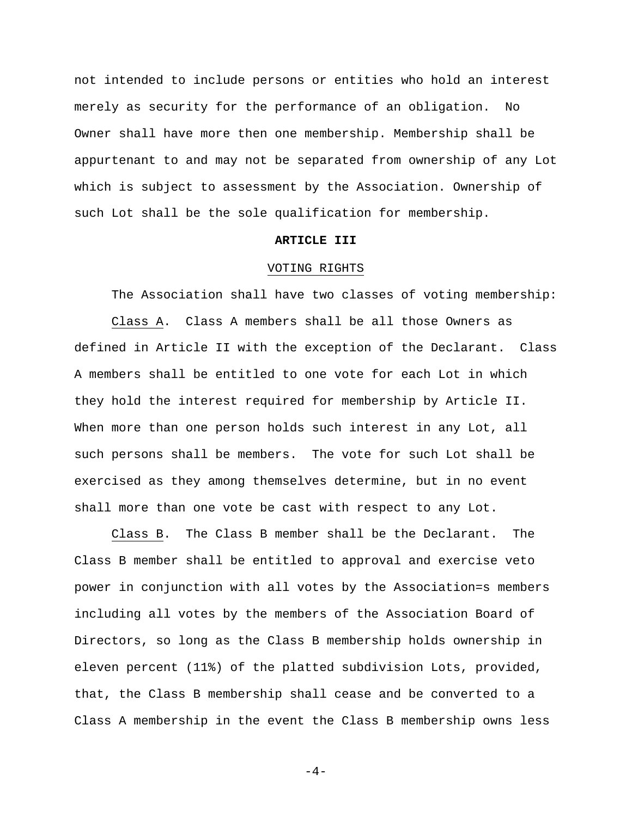not intended to include persons or entities who hold an interest merely as security for the performance of an obligation. No Owner shall have more then one membership. Membership shall be appurtenant to and may not be separated from ownership of any Lot which is subject to assessment by the Association. Ownership of such Lot shall be the sole qualification for membership.

# **ARTICLE III**

## VOTING RIGHTS

The Association shall have two classes of voting membership: Class A. Class A members shall be all those Owners as defined in Article II with the exception of the Declarant. Class A members shall be entitled to one vote for each Lot in which they hold the interest required for membership by Article II. When more than one person holds such interest in any Lot, all such persons shall be members. The vote for such Lot shall be exercised as they among themselves determine, but in no event shall more than one vote be cast with respect to any Lot.

Class B. The Class B member shall be the Declarant. The Class B member shall be entitled to approval and exercise veto power in conjunction with all votes by the Association=s members including all votes by the members of the Association Board of Directors, so long as the Class B membership holds ownership in eleven percent (11%) of the platted subdivision Lots, provided, that, the Class B membership shall cease and be converted to a Class A membership in the event the Class B membership owns less

 $-4-$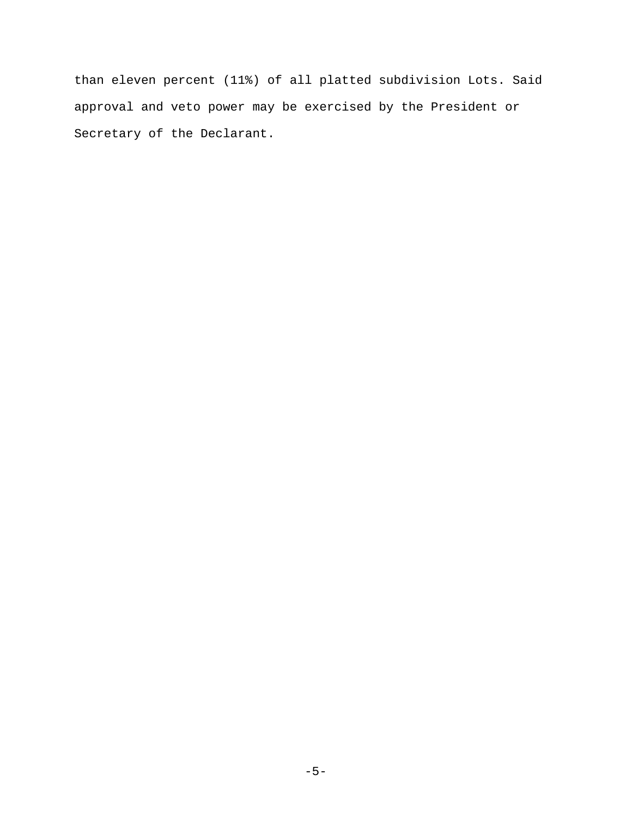than eleven percent (11%) of all platted subdivision Lots. Said approval and veto power may be exercised by the President or Secretary of the Declarant.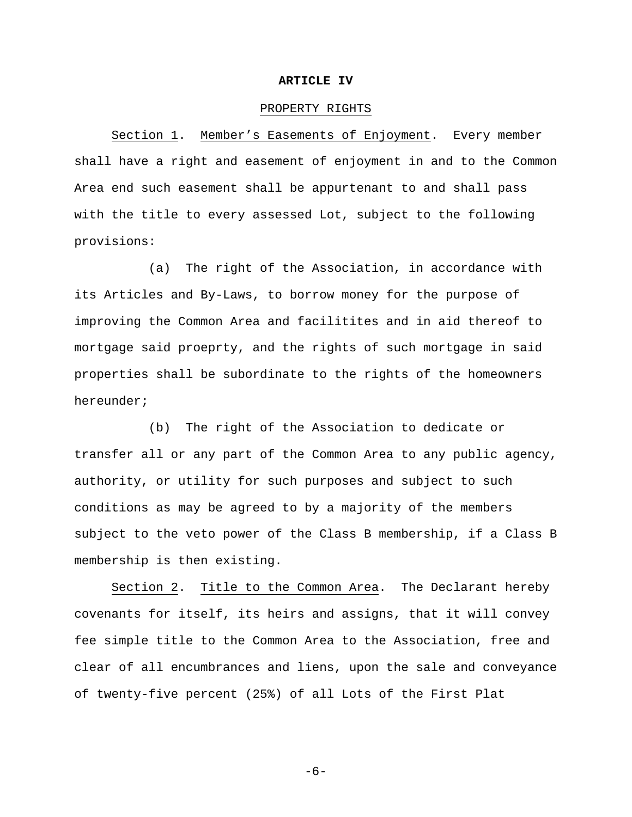### **ARTICLE IV**

## PROPERTY RIGHTS

Section 1. Member's Easements of Enjoyment. Every member shall have a right and easement of enjoyment in and to the Common Area end such easement shall be appurtenant to and shall pass with the title to every assessed Lot, subject to the following provisions:

(a) The right of the Association, in accordance with its Articles and By-Laws, to borrow money for the purpose of improving the Common Area and facilitites and in aid thereof to mortgage said proeprty, and the rights of such mortgage in said properties shall be subordinate to the rights of the homeowners hereunder;

(b) The right of the Association to dedicate or transfer all or any part of the Common Area to any public agency, authority, or utility for such purposes and subject to such conditions as may be agreed to by a majority of the members subject to the veto power of the Class B membership, if a Class B membership is then existing.

Section 2. Title to the Common Area. The Declarant hereby covenants for itself, its heirs and assigns, that it will convey fee simple title to the Common Area to the Association, free and clear of all encumbrances and liens, upon the sale and conveyance of twenty-five percent (25%) of all Lots of the First Plat

-6-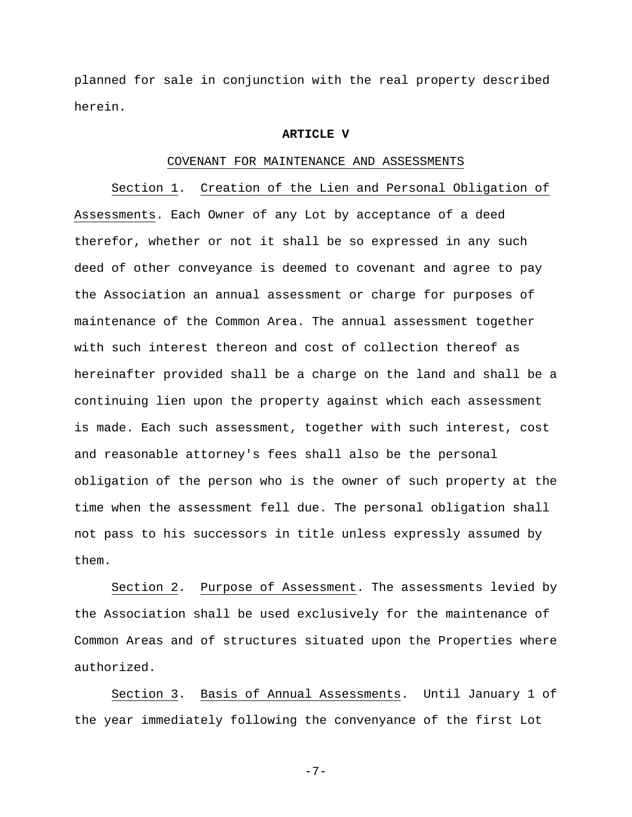planned for sale in conjunction with the real property described herein.

### **ARTICLE V**

### COVENANT FOR MAINTENANCE AND ASSESSMENTS

Section 1. Creation of the Lien and Personal Obligation of Assessments. Each Owner of any Lot by acceptance of a deed therefor, whether or not it shall be so expressed in any such deed of other conveyance is deemed to covenant and agree to pay the Association an annual assessment or charge for purposes of maintenance of the Common Area. The annual assessment together with such interest thereon and cost of collection thereof as hereinafter provided shall be a charge on the land and shall be a continuing lien upon the property against which each assessment is made. Each such assessment, together with such interest, cost and reasonable attorney's fees shall also be the personal obligation of the person who is the owner of such property at the time when the assessment fell due. The personal obligation shall not pass to his successors in title unless expressly assumed by them.

Section 2. Purpose of Assessment. The assessments levied by the Association shall be used exclusively for the maintenance of Common Areas and of structures situated upon the Properties where authorized.

Section 3. Basis of Annual Assessments. Until January 1 of the year immediately following the convenyance of the first Lot

-7-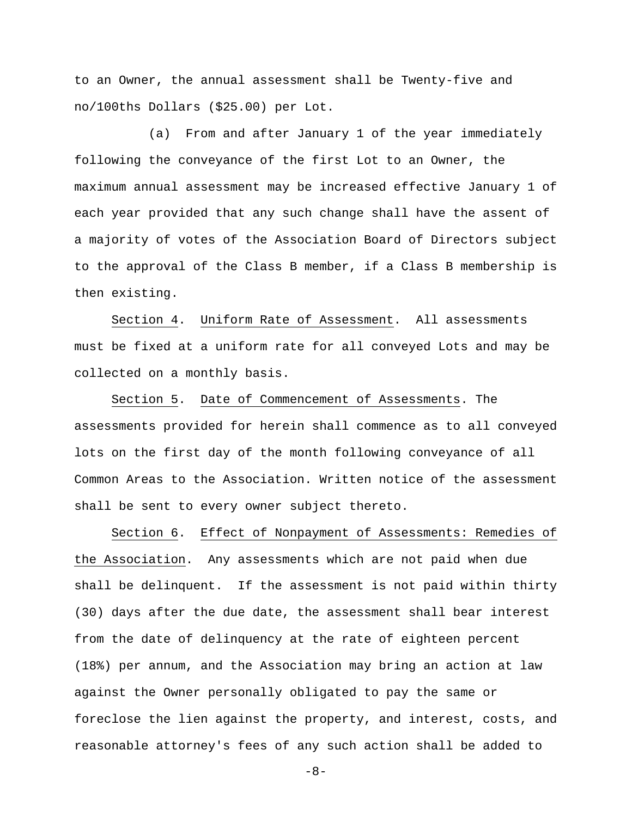to an Owner, the annual assessment shall be Twenty-five and no/100ths Dollars (\$25.00) per Lot.

(a) From and after January 1 of the year immediately following the conveyance of the first Lot to an Owner, the maximum annual assessment may be increased effective January 1 of each year provided that any such change shall have the assent of a majority of votes of the Association Board of Directors subject to the approval of the Class B member, if a Class B membership is then existing.

Section 4. Uniform Rate of Assessment. All assessments must be fixed at a uniform rate for all conveyed Lots and may be collected on a monthly basis.

Section 5. Date of Commencement of Assessments. The assessments provided for herein shall commence as to all conveyed lots on the first day of the month following conveyance of all Common Areas to the Association. Written notice of the assessment shall be sent to every owner subject thereto.

Section 6. Effect of Nonpayment of Assessments: Remedies of the Association. Any assessments which are not paid when due shall be delinquent. If the assessment is not paid within thirty (30) days after the due date, the assessment shall bear interest from the date of delinquency at the rate of eighteen percent (18%) per annum, and the Association may bring an action at law against the Owner personally obligated to pay the same or foreclose the lien against the property, and interest, costs, and reasonable attorney's fees of any such action shall be added to

 $-8-$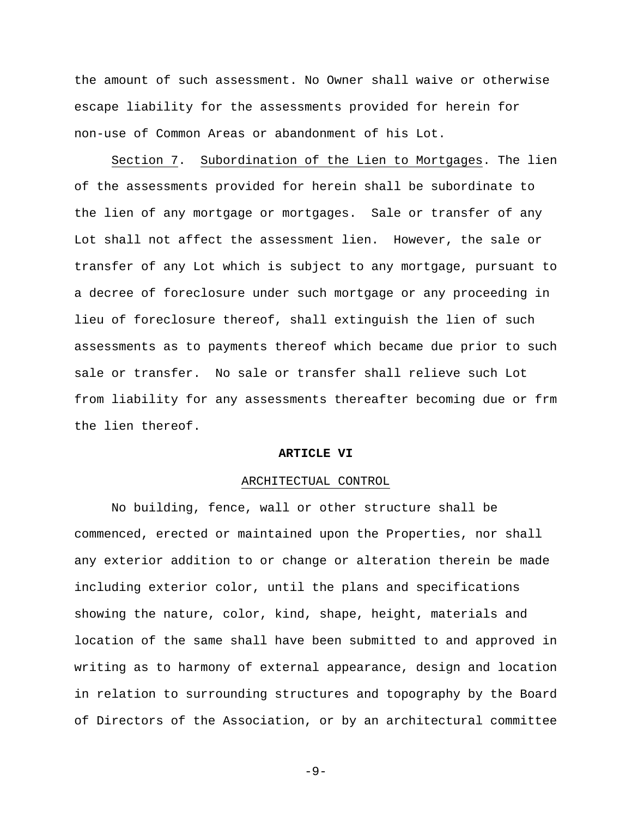the amount of such assessment. No Owner shall waive or otherwise escape liability for the assessments provided for herein for non-use of Common Areas or abandonment of his Lot.

Section 7. Subordination of the Lien to Mortgages. The lien of the assessments provided for herein shall be subordinate to the lien of any mortgage or mortgages. Sale or transfer of any Lot shall not affect the assessment lien. However, the sale or transfer of any Lot which is subject to any mortgage, pursuant to a decree of foreclosure under such mortgage or any proceeding in lieu of foreclosure thereof, shall extinguish the lien of such assessments as to payments thereof which became due prior to such sale or transfer. No sale or transfer shall relieve such Lot from liability for any assessments thereafter becoming due or frm the lien thereof.

# **ARTICLE VI**

## ARCHITECTUAL CONTROL

No building, fence, wall or other structure shall be commenced, erected or maintained upon the Properties, nor shall any exterior addition to or change or alteration therein be made including exterior color, until the plans and specifications showing the nature, color, kind, shape, height, materials and location of the same shall have been submitted to and approved in writing as to harmony of external appearance, design and location in relation to surrounding structures and topography by the Board of Directors of the Association, or by an architectural committee

-9-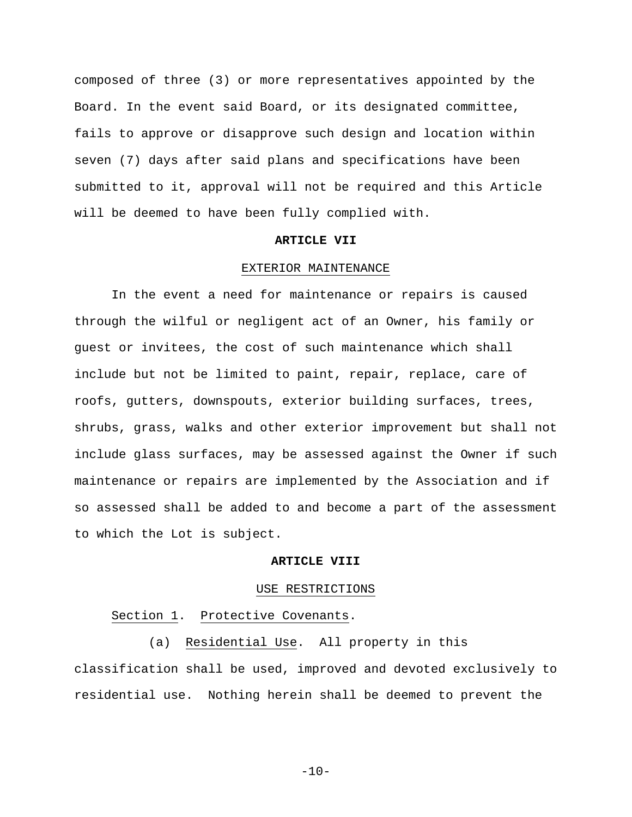composed of three (3) or more representatives appointed by the Board. In the event said Board, or its designated committee, fails to approve or disapprove such design and location within seven (7) days after said plans and specifications have been submitted to it, approval will not be required and this Article will be deemed to have been fully complied with.

## **ARTICLE VII**

### EXTERIOR MAINTENANCE

In the event a need for maintenance or repairs is caused through the wilful or negligent act of an Owner, his family or guest or invitees, the cost of such maintenance which shall include but not be limited to paint, repair, replace, care of roofs, gutters, downspouts, exterior building surfaces, trees, shrubs, grass, walks and other exterior improvement but shall not include glass surfaces, may be assessed against the Owner if such maintenance or repairs are implemented by the Association and if so assessed shall be added to and become a part of the assessment to which the Lot is subject.

# **ARTICLE VIII**

## USE RESTRICTIONS

# Section 1. Protective Covenants.

(a) Residential Use. All property in this classification shall be used, improved and devoted exclusively to residential use. Nothing herein shall be deemed to prevent the

 $-10-$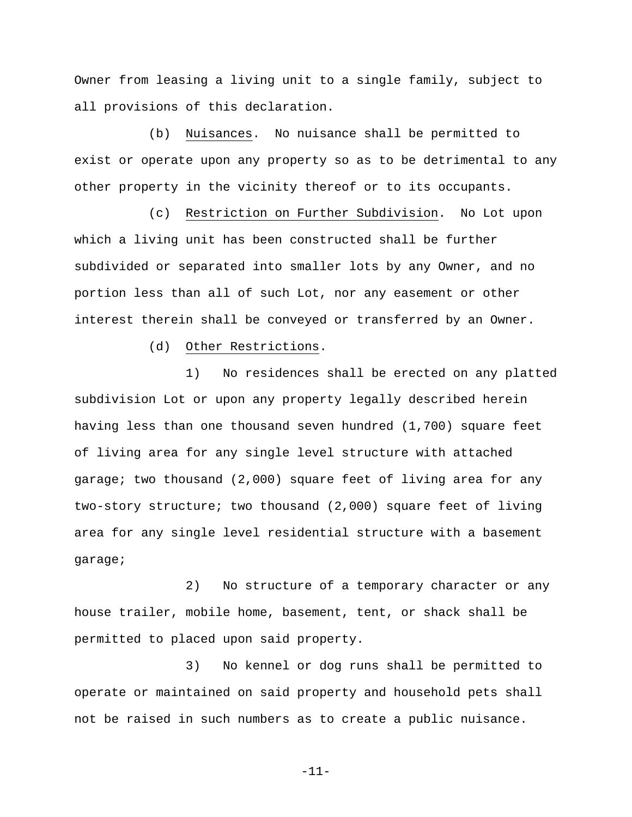Owner from leasing a living unit to a single family, subject to all provisions of this declaration.

(b) Nuisances. No nuisance shall be permitted to exist or operate upon any property so as to be detrimental to any other property in the vicinity thereof or to its occupants.

(c) Restriction on Further Subdivision. No Lot upon which a living unit has been constructed shall be further subdivided or separated into smaller lots by any Owner, and no portion less than all of such Lot, nor any easement or other interest therein shall be conveyed or transferred by an Owner.

(d) Other Restrictions.

1) No residences shall be erected on any platted subdivision Lot or upon any property legally described herein having less than one thousand seven hundred (1,700) square feet of living area for any single level structure with attached garage; two thousand (2,000) square feet of living area for any two-story structure; two thousand (2,000) square feet of living area for any single level residential structure with a basement garage;

2) No structure of a temporary character or any house trailer, mobile home, basement, tent, or shack shall be permitted to placed upon said property.

3) No kennel or dog runs shall be permitted to operate or maintained on said property and household pets shall not be raised in such numbers as to create a public nuisance.

-11-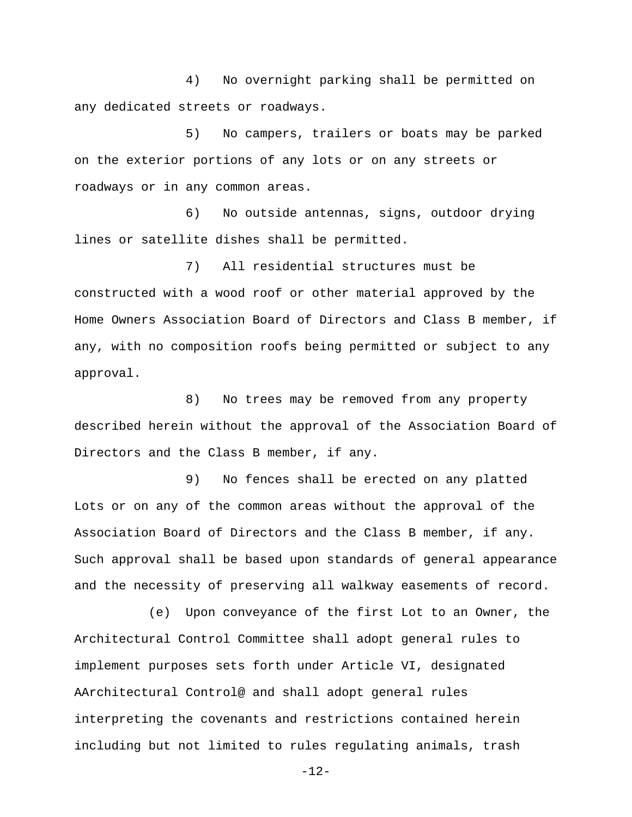4) No overnight parking shall be permitted on any dedicated streets or roadways.

5) No campers, trailers or boats may be parked on the exterior portions of any lots or on any streets or roadways or in any common areas.

6) No outside antennas, signs, outdoor drying lines or satellite dishes shall be permitted.

7) All residential structures must be constructed with a wood roof or other material approved by the Home Owners Association Board of Directors and Class B member, if any, with no composition roofs being permitted or subject to any approval.

8) No trees may be removed from any property described herein without the approval of the Association Board of Directors and the Class B member, if any.

9) No fences shall be erected on any platted Lots or on any of the common areas without the approval of the Association Board of Directors and the Class B member, if any. Such approval shall be based upon standards of general appearance and the necessity of preserving all walkway easements of record.

(e) Upon conveyance of the first Lot to an Owner, the Architectural Control Committee shall adopt general rules to implement purposes sets forth under Article VI, designated AArchitectural Control@ and shall adopt general rules interpreting the covenants and restrictions contained herein including but not limited to rules regulating animals, trash

-12-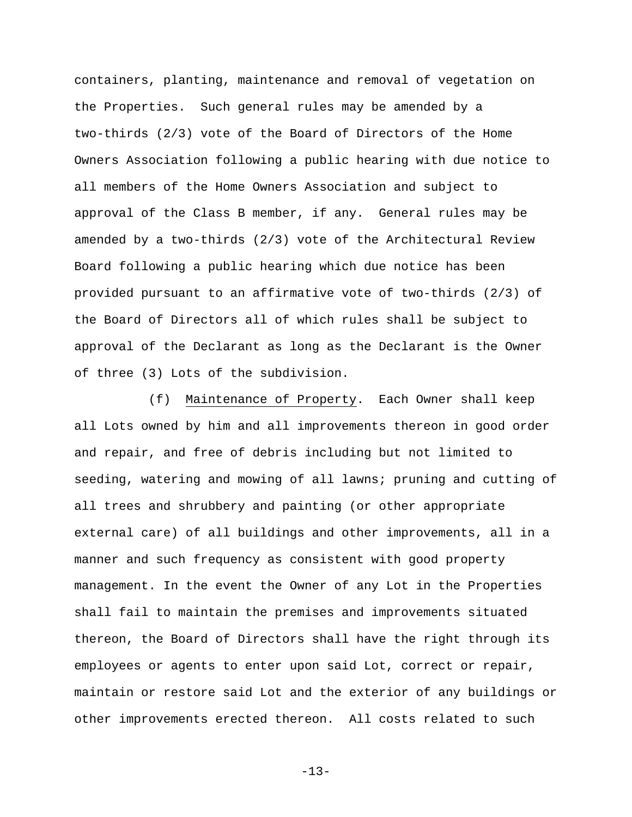containers, planting, maintenance and removal of vegetation on the Properties. Such general rules may be amended by a two-thirds (2/3) vote of the Board of Directors of the Home Owners Association following a public hearing with due notice to all members of the Home Owners Association and subject to approval of the Class B member, if any. General rules may be amended by a two-thirds (2/3) vote of the Architectural Review Board following a public hearing which due notice has been provided pursuant to an affirmative vote of two-thirds (2/3) of the Board of Directors all of which rules shall be subject to approval of the Declarant as long as the Declarant is the Owner of three (3) Lots of the subdivision.

(f) Maintenance of Property. Each Owner shall keep all Lots owned by him and all improvements thereon in good order and repair, and free of debris including but not limited to seeding, watering and mowing of all lawns; pruning and cutting of all trees and shrubbery and painting (or other appropriate external care) of all buildings and other improvements, all in a manner and such frequency as consistent with good property management. In the event the Owner of any Lot in the Properties shall fail to maintain the premises and improvements situated thereon, the Board of Directors shall have the right through its employees or agents to enter upon said Lot, correct or repair, maintain or restore said Lot and the exterior of any buildings or other improvements erected thereon. All costs related to such

-13-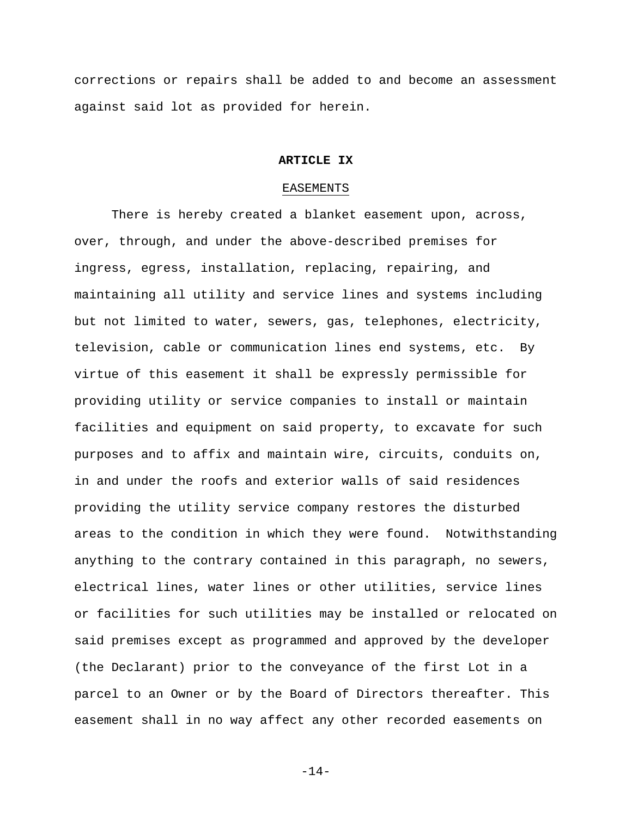corrections or repairs shall be added to and become an assessment against said lot as provided for herein.

### **ARTICLE IX**

### EASEMENTS

There is hereby created a blanket easement upon, across, over, through, and under the above-described premises for ingress, egress, installation, replacing, repairing, and maintaining all utility and service lines and systems including but not limited to water, sewers, gas, telephones, electricity, television, cable or communication lines end systems, etc. By virtue of this easement it shall be expressly permissible for providing utility or service companies to install or maintain facilities and equipment on said property, to excavate for such purposes and to affix and maintain wire, circuits, conduits on, in and under the roofs and exterior walls of said residences providing the utility service company restores the disturbed areas to the condition in which they were found. Notwithstanding anything to the contrary contained in this paragraph, no sewers, electrical lines, water lines or other utilities, service lines or facilities for such utilities may be installed or relocated on said premises except as programmed and approved by the developer (the Declarant) prior to the conveyance of the first Lot in a parcel to an Owner or by the Board of Directors thereafter. This easement shall in no way affect any other recorded easements on

-14-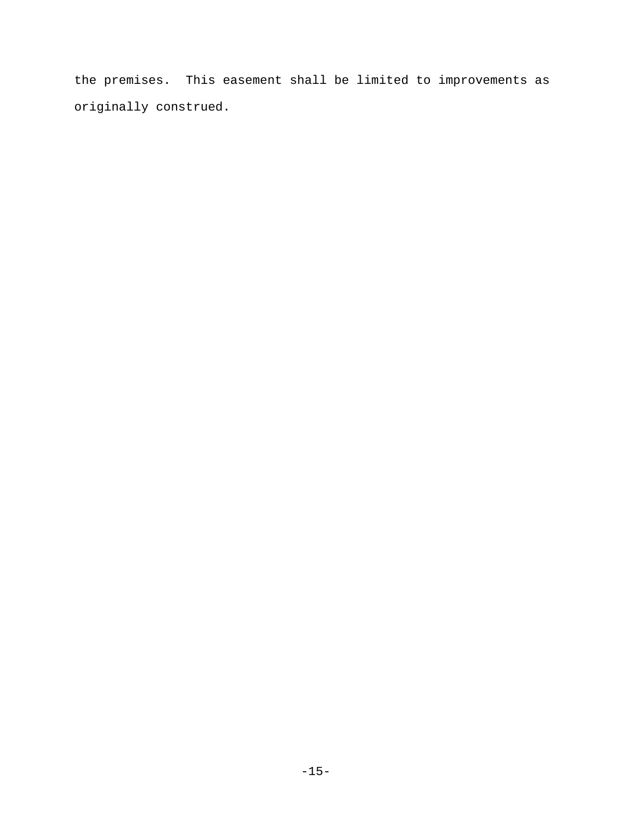the premises. This easement shall be limited to improvements as originally construed.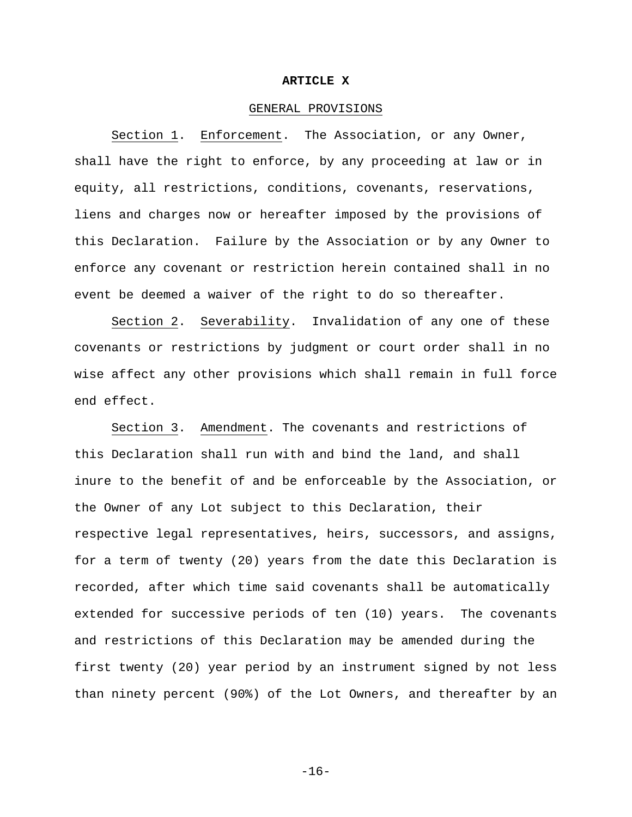#### **ARTICLE X**

## GENERAL PROVISIONS

Section 1. Enforcement. The Association, or any Owner, shall have the right to enforce, by any proceeding at law or in equity, all restrictions, conditions, covenants, reservations, liens and charges now or hereafter imposed by the provisions of this Declaration. Failure by the Association or by any Owner to enforce any covenant or restriction herein contained shall in no event be deemed a waiver of the right to do so thereafter.

Section 2. Severability. Invalidation of any one of these covenants or restrictions by judgment or court order shall in no wise affect any other provisions which shall remain in full force end effect.

Section 3. Amendment. The covenants and restrictions of this Declaration shall run with and bind the land, and shall inure to the benefit of and be enforceable by the Association, or the Owner of any Lot subject to this Declaration, their respective legal representatives, heirs, successors, and assigns, for a term of twenty (20) years from the date this Declaration is recorded, after which time said covenants shall be automatically extended for successive periods of ten (10) years. The covenants and restrictions of this Declaration may be amended during the first twenty (20) year period by an instrument signed by not less than ninety percent (90%) of the Lot Owners, and thereafter by an

-16-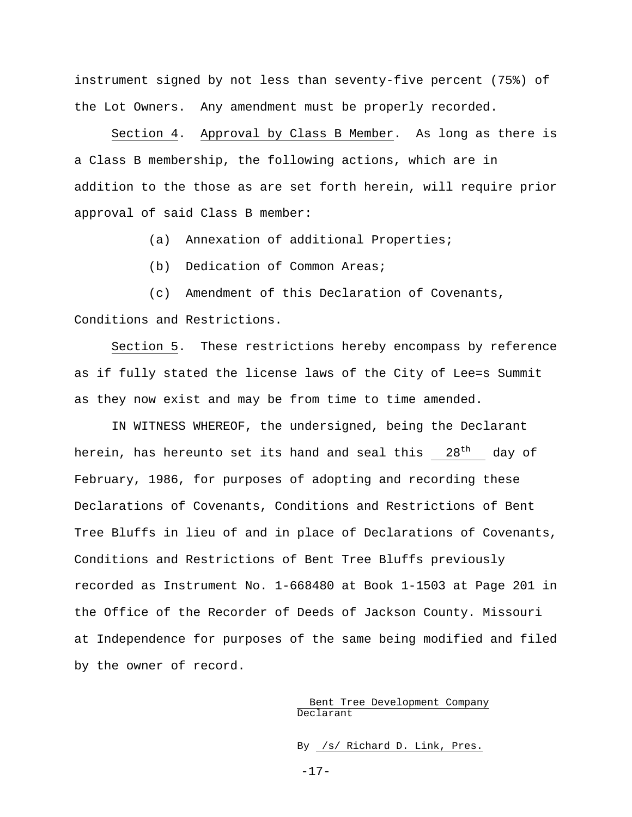instrument signed by not less than seventy-five percent (75%) of the Lot Owners. Any amendment must be properly recorded.

Section 4. Approval by Class B Member. As long as there is a Class B membership, the following actions, which are in addition to the those as are set forth herein, will require prior approval of said Class B member:

(a) Annexation of additional Properties;

(b) Dedication of Common Areas;

(c) Amendment of this Declaration of Covenants, Conditions and Restrictions.

Section 5. These restrictions hereby encompass by reference as if fully stated the license laws of the City of Lee=s Summit as they now exist and may be from time to time amended.

IN WITNESS WHEREOF, the undersigned, being the Declarant herein, has hereunto set its hand and seal this 28<sup>th</sup> day of February, 1986, for purposes of adopting and recording these Declarations of Covenants, Conditions and Restrictions of Bent Tree Bluffs in lieu of and in place of Declarations of Covenants, Conditions and Restrictions of Bent Tree Bluffs previously recorded as Instrument No. 1-668480 at Book 1-1503 at Page 201 in the Office of the Recorder of Deeds of Jackson County. Missouri at Independence for purposes of the same being modified and filed by the owner of record.

## Bent Tree Development Company Declarant

By /s/ Richard D. Link, Pres.

-17-